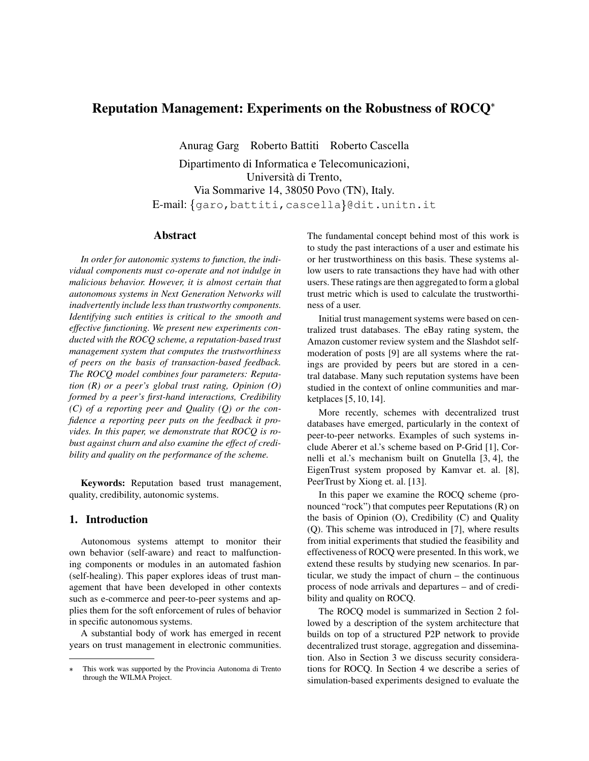# **Reputation Management: Experiments on the Robustness of ROCQ**

Anurag Garg Roberto Battiti Roberto Cascella Dipartimento di Informatica e Telecomunicazioni, Universita` di Trento, Via Sommarive 14, 38050 Povo (TN), Italy. E-mail: {garo,battiti,cascella}@dit.unitn.it

### **Abstract**

*In order for autonomic systems to function, the individual components must co-operate and not indulge in malicious behavior. However, it is almost certain that autonomous systems in Next Generation Networks will inadvertently include less than trustworthy components. Identifying such entities is critical to the smooth and effective functioning. We present new experiments conducted with the ROCQ scheme, a reputation-based trust management system that computes the trustworthiness of peers on the basis of transaction-based feedback. The ROCQ model combines four parameters: Reputation (R) or a peer's global trust rating, Opinion (O) formed by a peer's first-hand interactions, Credibility (C) of a reporting peer and Quality (Q) or the confidence a reporting peer puts on the feedback it provides. In this paper, we demonstrate that ROCQ is robust against churn and also examine the effect of credibility and quality on the performance of the scheme.*

**Keywords:** Reputation based trust management, quality, credibility, autonomic systems.

### **1. Introduction**

Autonomous systems attempt to monitor their own behavior (self-aware) and react to malfunctioning components or modules in an automated fashion (self-healing). This paper explores ideas of trust management that have been developed in other contexts such as e-commerce and peer-to-peer systems and applies them for the soft enforcement of rules of behavior in specific autonomous systems.

A substantial body of work has emerged in recent years on trust management in electronic communities.

The fundamental concept behind most of this work is to study the past interactions of a user and estimate his or her trustworthiness on this basis. These systems allow users to rate transactions they have had with other users. These ratings are then aggregated to form a global trust metric which is used to calculate the trustworthiness of a user.

Initial trust management systems were based on centralized trust databases. The eBay rating system, the Amazon customer review system and the Slashdot selfmoderation of posts [9] are all systems where the ratings are provided by peers but are stored in a central database. Many such reputation systems have been studied in the context of online communities and marketplaces [5, 10, 14].

More recently, schemes with decentralized trust databases have emerged, particularly in the context of peer-to-peer networks. Examples of such systems include Aberer et al.'s scheme based on P-Grid [1], Cornelli et al.'s mechanism built on Gnutella [3, 4], the EigenTrust system proposed by Kamvar et. al. [8], PeerTrust by Xiong et. al. [13].

In this paper we examine the ROCQ scheme (pronounced "rock") that computes peer Reputations (R) on the basis of Opinion (O), Credibility (C) and Quality (Q). This scheme was introduced in [7], where results from initial experiments that studied the feasibility and effectiveness of ROCQ were presented. In this work, we extend these results by studying new scenarios. In particular, we study the impact of churn – the continuous process of node arrivals and departures – and of credibility and quality on ROCQ.

The ROCQ model is summarized in Section 2 followed by a description of the system architecture that builds on top of a structured P2P network to provide decentralized trust storage, aggregation and dissemination. Also in Section 3 we discuss security considerations for ROCQ. In Section 4 we describe a series of simulation-based experiments designed to evaluate the

This work was supported by the Provincia Autonoma di Trento through the WILMA Project.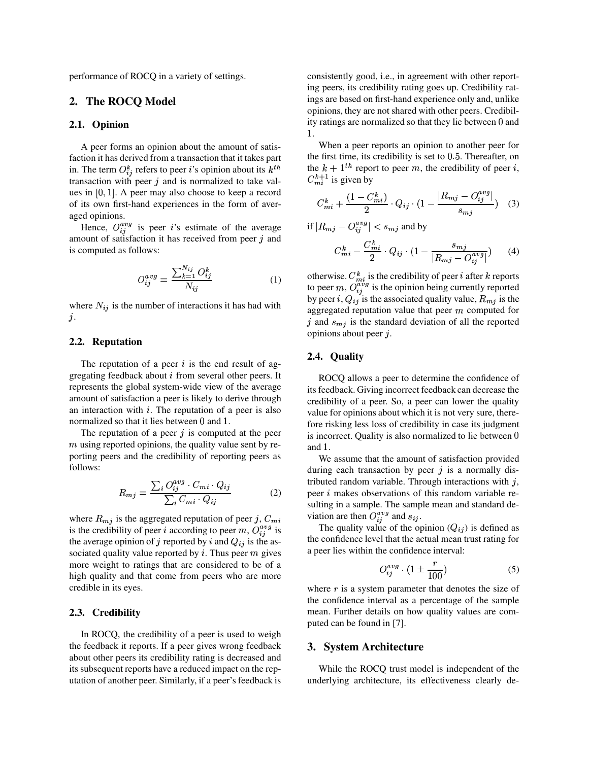performance of ROCQ in a variety of settings.

## **2. The ROCQ Model**

### **2.1. Opinion**

A peer forms an opinion about the amount of satisfaction it has derived from a transaction that it takes part in. The term  $O_{ij}^k$  refers to peer *i*'s opinion about its  $k^{th}$  [contacts] transaction with peer  $j$  and is normalized to take values in  $[0, 1]$ . A peer may also choose to keep a record of its own first-hand experiences in the form of averaged opinions.

Hence,  $O_{ij}^{avg}$  is peer *i*'s estimate of the average amount of satisfaction it has received from peer  $j$  and is computed as follows:

$$
O_{ij}^{avg} = \frac{\sum_{k=1}^{N_{ij}} O_{ij}^k}{N_{ij}}
$$
 (1)

where  $N_{ij}$  is the number of interactions it has had with  $\boldsymbol{j}$ .

#### **2.2. Reputation**

The reputation of a peer  $i$  is the end result of aggregating feedback about  $i$  from several other peers. It represents the global system-wide view of the average amount of satisfaction a peer is likely to derive through an interaction with  $i$ . The reputation of a peer is also normalized so that it lies between 0 and 1.

The reputation of a peer  $j$  is computed at the peer  $m$  using reported opinions, the quality value sent by reporting peers and the credibility of reporting peers as follows:

$$
R_{mj} = \frac{\sum_{i} O_{ij}^{avg} \cdot C_{mi} \cdot Q_{ij}}{\sum_{i} C_{mi} \cdot Q_{ij}}
$$
(2)

where  $R_{mj}$  is the aggregated reputation of peer j,  $C_{mi}$  viation is the credibility of peer *i* according to peer m,  $O_{ii}^{avg}$  is the average opinion of j reported by i and  $Q_{ij}$  is the associated quality value reported by i. Thus peer m gives  $\frac{a}{a}$  peer more weight to ratings that are considered to be of a high quality and that come from peers who are more credible in its eyes.

### **2.3. Credibility**

In ROCQ, the credibility of a peer is used to weigh the feedback it reports. If a peer gives wrong feedback about other peers its credibility rating is decreased and its subsequent reports have a reduced impact on the reputation of another peer. Similarly, if a peer's feedback is consistently good, i.e., in agreement with other reporting peers, its credibility rating goes up. Credibility ratings are based on first-hand experience only and, unlike opinions, they are not shared with other peers. Credibility ratings are normalized so that they lie between 0 and .

When a peer reports an opinion to another peer for the first time, its credibility is set to  $0.5$ . Thereafter, on the  $k + 1$ <sup>th</sup> report to peer m, the credibility of peer i,  $C_{mi}^{k+1}$  is given by

$$
C_{mi}^k + \frac{(1 - C_{mi}^k)}{2} \cdot Q_{ij} \cdot (1 - \frac{|R_{mj} - O_{ij}^{avg}|}{s_{mj}}) \quad (3)
$$

if  $|R_{m} - O_{ii}^{avg}| < s_{m}$  and by

$$
C_{mi}^k - \frac{C_{mi}^k}{2} \cdot Q_{ij} \cdot (1 - \frac{s_{mj}}{|R_{mj} - O_{ij}^{avg}|}) \tag{4}
$$

otherwise.  $C_{mi}^k$  is the credibility of peer *i* after *k* reports to peer m,  $O_{ii}^{avg}$  is the opinion being currently reported by peer i,  $Q_{ij}$  is the associated quality value,  $R_{mj}$  is the aggregated reputation value that peer  $m$  computed for j and  $s_{mj}$  is the standard deviation of all the reported opinions about peer  $j$ .

#### **2.4. Quality**

ROCQ allows a peer to determine the confidence of its feedback. Giving incorrect feedback can decrease the credibility of a peer. So, a peer can lower the quality value for opinions about which it is not very sure, therefore risking less loss of credibility in case its judgment is incorrect. Quality is also normalized to lie between and  $1$ .

We assume that the amount of satisfaction provided during each transaction by peer  $j$  is a normally distributed random variable. Through interactions with  $j$ , peer *i* makes observations of this random variable resulting in a sample. The sample mean and standard deviation are then  $O_{ij}^{avg}$  and  $s_{ij}$ .

The quality value of the opinion  $(Q_{ij})$  is defined as the confidence level that the actual mean trust rating for a peer lies within the confidence interval:

$$
O_{ij}^{avg} \cdot (1 \pm \frac{r}{100}) \tag{5}
$$

where  $r$  is a system parameter that denotes the size of the confidence interval as a percentage of the sample mean. Further details on how quality values are computed can be found in [7].

# **3. System Architecture**

While the ROCQ trust model is independent of the underlying architecture, its effectiveness clearly de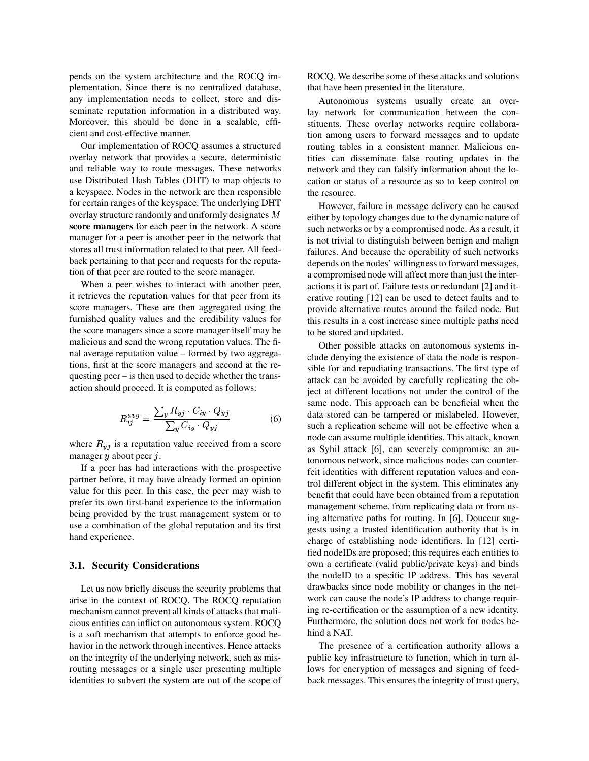pends on the system architecture and the ROCQ implementation. Since there is no centralized database, any implementation needs to collect, store and disseminate reputation information in a distributed way. Moreover, this should be done in a scalable, efficient and cost-effective manner.

Our implementation of ROCQ assumes a structured overlay network that provides a secure, deterministic and reliable way to route messages. These networks use Distributed Hash Tables (DHT) to map objects to a keyspace. Nodes in the network are then responsible for certain ranges of the keyspace. The underlying DHT overlay structure randomly and uniformly designates  $M$ **score managers** for each peer in the network. A score manager for a peer is another peer in the network that stores all trust information related to that peer. All feedback pertaining to that peer and requests for the reputation of that peer are routed to the score manager.

When a peer wishes to interact with another peer, it retrieves the reputation values for that peer from its score managers. These are then aggregated using the furnished quality values and the credibility values for the score managers since a score manager itself may be malicious and send the wrong reputation values. The final average reputation value – formed by two aggregations, first at the score managers and second at the requesting peer – is then used to decide whether the transaction should proceed. It is computed as follows:

$$
R_{ij}^{avg} = \frac{\sum_{y} R_{yj} \cdot C_{iy} \cdot Q_{yj}}{\sum_{y} C_{iy} \cdot Q_{yj}}
$$
(6)

where  $R_{y_i}$  is a reputation value received from a score manager  $y$  about peer  $j$ .

If a peer has had interactions with the prospective partner before, it may have already formed an opinion value for this peer. In this case, the peer may wish to prefer its own first-hand experience to the information being provided by the trust management system or to use a combination of the global reputation and its first hand experience.

### **3.1. Security Considerations**

Let us now briefly discuss the security problems that arise in the context of ROCQ. The ROCQ reputation mechanism cannot prevent all kinds of attacks that malicious entities can inflict on autonomous system. ROCQ is a soft mechanism that attempts to enforce good behavior in the network through incentives. Hence attacks on the integrity of the underlying network, such as misrouting messages or a single user presenting multiple identities to subvert the system are out of the scope of ROCQ. We describe some of these attacks and solutions that have been presented in the literature.

Autonomous systems usually create an overlay network for communication between the constituents. These overlay networks require collaboration among users to forward messages and to update routing tables in a consistent manner. Malicious entities can disseminate false routing updates in the network and they can falsify information about the location or status of a resource as so to keep control on the resource.

However, failure in message delivery can be caused either by topology changes due to the dynamic nature of such networks or by a compromised node. As a result, it is not trivial to distinguish between benign and malign failures. And because the operability of such networks depends on the nodes' willingness to forward messages, a compromised node will affect more than just the interactions it is part of. Failure tests or redundant [2] and iterative routing [12] can be used to detect faults and to provide alternative routes around the failed node. But this results in a cost increase since multiple paths need to be stored and updated.

Other possible attacks on autonomous systems include denying the existence of data the node is responsible for and repudiating transactions. The first type of attack can be avoided by carefully replicating the object at different locations not under the control of the same node. This approach can be beneficial when the data stored can be tampered or mislabeled. However, such a replication scheme will not be effective when a node can assume multiple identities. This attack, known as Sybil attack [6], can severely compromise an autonomous network, since malicious nodes can counterfeit identities with different reputation values and control different object in the system. This eliminates any benefit that could have been obtained from a reputation management scheme, from replicating data or from using alternative paths for routing. In [6], Douceur suggests using a trusted identification authority that is in charge of establishing node identifiers. In [12] certified nodeIDs are proposed; this requires each entities to own a certificate (valid public/private keys) and binds the nodeID to a specific IP address. This has several drawbacks since node mobility or changes in the network can cause the node's IP address to change requiring re-certification or the assumption of a new identity. Furthermore, the solution does not work for nodes behind a NAT.

The presence of a certification authority allows a public key infrastructure to function, which in turn allows for encryption of messages and signing of feedback messages. This ensures the integrity of trust query,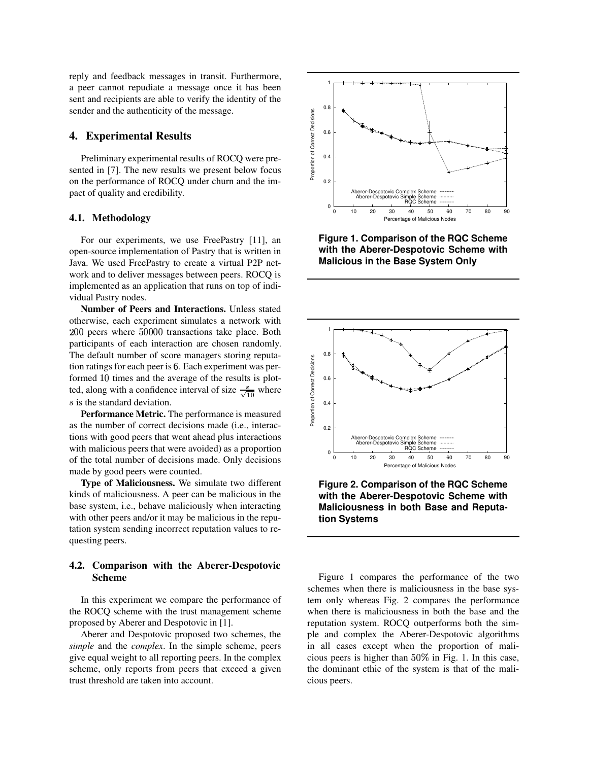reply and feedback messages in transit. Furthermore, a peer cannot repudiate a message once it has been sent and recipients are able to verify the identity of the sender and the authenticity of the message.

### **4. Experimental Results**

Preliminary experimental results of ROCQ were presented in [7]. The new results we present below focus on the performance of ROCQ under churn and the impact of quality and credibility.

### **4.1. Methodology**

For our experiments, we use FreePastry [11], an open-source implementation of Pastry that is written in Java. We used FreePastry to create a virtual P2P network and to deliver messages between peers. ROCQ is implemented as an application that runs on top of individual Pastry nodes.

**Number of Peers and Interactions.** Unless stated otherwise, each experiment simulates a network with 200 peers where 50000 transactions take place. Both participants of each interaction are chosen randomly. The default number of score managers storing reputation ratings for each peer is 6. Each experiment was performed 10 times and the average of the results is plotted, along with a confidence interval of size  $\frac{s}{\sqrt{10}}$  where s is the standard deviation.

**Performance Metric.** The performance is measured as the number of correct decisions made (i.e., interactions with good peers that went ahead plus interactions with malicious peers that were avoided) as a proportion of the total number of decisions made. Only decisions made by good peers were counted.

**Type of Maliciousness.** We simulate two different kinds of maliciousness. A peer can be malicious in the base system, i.e., behave maliciously when interacting with other peers and/or it may be malicious in the reputation system sending incorrect reputation values to requesting peers.

# **4.2. Comparison with the Aberer-Despotovic Scheme**

In this experiment we compare the performance of the ROCQ scheme with the trust management scheme proposed by Aberer and Despotovic in [1].

Aberer and Despotovic proposed two schemes, the *simple* and the *complex*. In the simple scheme, peers give equal weight to all reporting peers. In the complex scheme, only reports from peers that exceed a given trust threshold are taken into account.



**Figure 1. Comparison of the RQC Scheme with the Aberer-Despotovic Scheme with Malicious in the Base System Only**



**Figure 2. Comparison of the RQC Scheme with the Aberer-Despotovic Scheme with Maliciousness in both Base and Reputation Systems**

Figure 1 compares the performance of the two schemes when there is maliciousness in the base system only whereas Fig. 2 compares the performance when there is maliciousness in both the base and the reputation system. ROCQ outperforms both the simple and complex the Aberer-Despotovic algorithms in all cases except when the proportion of malicious peers is higher than  $50\%$  in Fig. 1. In this case, the dominant ethic of the system is that of the malicious peers.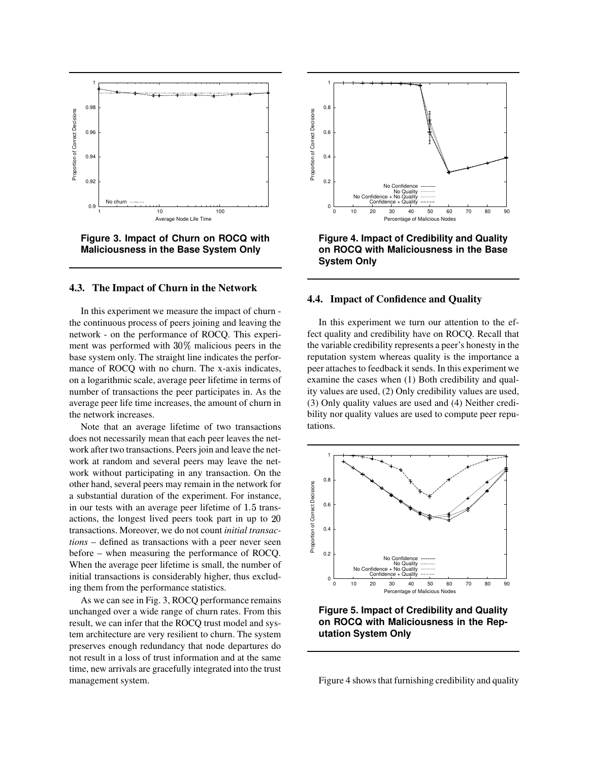

**Figure 3. Impact of Churn on ROCQ with Maliciousness in the Base System Only**

#### **4.3. The Impact of Churn in the Network**

In this experiment we measure the impact of churn the continuous process of peers joining and leaving the network - on the performance of ROCQ. This experiment was performed with  $30\%$  malicious peers in the base system only. The straight line indicates the performance of ROCQ with no churn. The x-axis indicates, on a logarithmic scale, average peer lifetime in terms of number of transactions the peer participates in. As the average peer life time increases, the amount of churn in the network increases.

Note that an average lifetime of two transactions does not necessarily mean that each peer leaves the network after two transactions. Peers join and leave the network at random and several peers may leave the network without participating in any transaction. On the other hand, several peers may remain in the network for a substantial duration of the experiment. For instance, in our tests with an average peer lifetime of 1.5 transother hand, several peers may remain in the network for<br>
a substantial duration of the experiment. For instance,<br>
in our tests with an average peer lifetime of 1.5 trans-<br>
actions, the longest lived peers took part in up transactions. Moreover, we do not count *initial transactions* – defined as transactions with a peer never seen before – when measuring the performance of ROCQ. When the average peer lifetime is small, the number of initial transactions is considerably higher, thus excluding them from the performance statistics.

As we can see in Fig. 3, ROCQ performance remains unchanged over a wide range of churn rates. From this result, we can infer that the ROCQ trust model and system architecture are very resilient to churn. The system preserves enough redundancy that node departures do not result in a loss of trust information and at the same time, new arrivals are gracefully integrated into the trust management system.



**Figure 4. Impact of Credibility and Quality on ROCQ with Maliciousness in the Base System Only**

#### **4.4. Impact of Confidence and Quality**

In this experiment we turn our attention to the effect quality and credibility have on ROCQ. Recall that the variable credibility represents a peer's honesty in the reputation system whereas quality is the importance a peer attaches to feedback it sends. In this experiment we examine the cases when (1) Both credibility and quality values are used, (2) Only credibility values are used, (3) Only quality values are used and (4) Neither credibility nor quality values are used to compute peer reputations.



**Figure 5. Impact of Credibility and Quality on ROCQ with Maliciousness in the Reputation System Only**

Figure 4 shows that furnishing credibility and quality